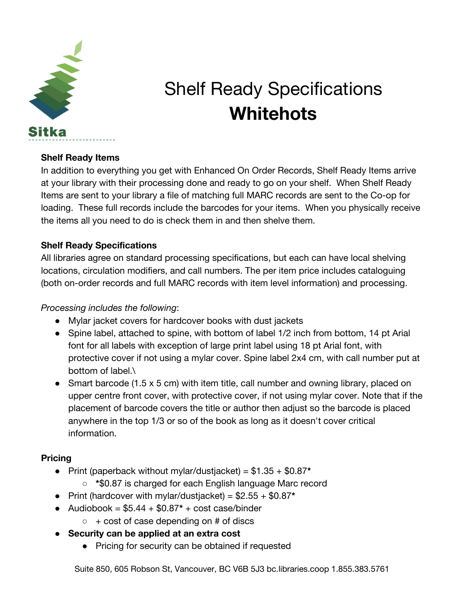

# Shelf Ready Specifications **Whitehots**

#### **Shelf Ready Items**

In addition to everything you get with Enhanced On Order Records, Shelf Ready Items arrive at your library with their processing done and ready to go on your shelf. When Shelf Ready Items are sent to your library a file of matching full MARC records are sent to the Co-op for loading. These full records include the barcodes for your items. When you physically receive the items all you need to do is check them in and then shelve them.

#### **Shelf Ready Specifications**

All libraries agree on standard processing specifications, but each can have local shelving locations, circulation modifiers, and call numbers. The per item price includes cataloguing (both on-order records and full MARC records with item level information) and processing.

#### *Processing includes the following*:

- Mylar jacket covers for hardcover books with dust jackets
- Spine label, attached to spine, with bottom of label 1/2 inch from bottom, 14 pt Arial font for all labels with exception of large print label using 18 pt Arial font, with protective cover if not using a mylar cover. Spine label 2x4 cm, with call number put at bottom of label.\
- Smart barcode (1.5 x 5 cm) with item title, call number and owning library, placed on upper centre front cover, with protective cover, if not using mylar cover. Note that if the placement of barcode covers the title or author then adjust so the barcode is placed anywhere in the top 1/3 or so of the book as long as it doesn't cover critical information.

### **Pricing**

- Print (paperback without mylar/dustjacket) = \$1.35 + \$0.87**\***
	- **\***\$0.87 is charged for each English language Marc record
- Print (hardcover with mylar/dustjacket) = \$2.55 + \$0.87**\***
- $\bullet$  Audiobook =  $$5.44 + $0.87* + cost case/binder$ 
	- $\circ$  + cost of case depending on # of discs
- **Security can be applied at an extra cost**
	- Pricing for security can be obtained if requested